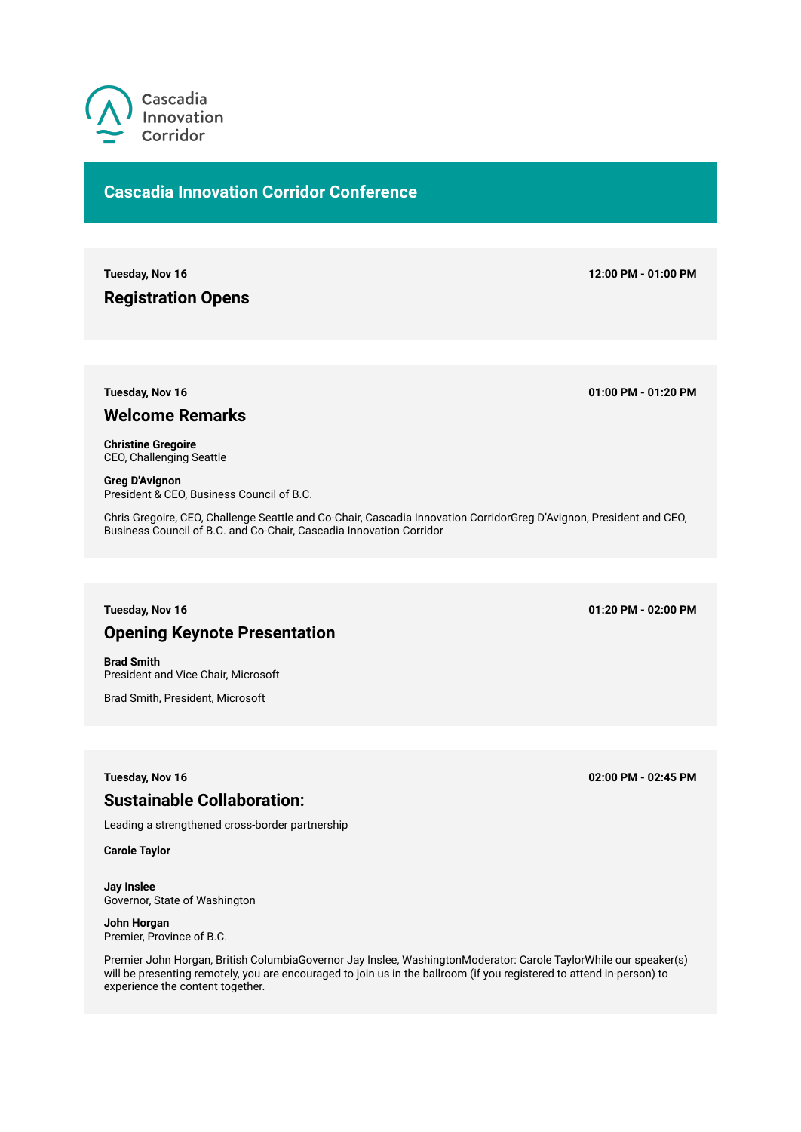

# **Cascadia Innovation Corridor Conference**

**Tuesday, Nov 16 12:00 PM - 01:00 PM**

**Registration Opens**

**Tuesday, Nov 16 01:00 PM - 01:20 PM**

## **Welcome Remarks**

**Christine Gregoire**  CEO, Challenging Seattle

**Greg D'Avignon**  President & CEO, Business Council of B.C.

Chris Gregoire, CEO, Challenge Seattle and Co-Chair, Cascadia Innovation CorridorGreg D'Avignon, President and CEO, Business Council of B.C. and Co-Chair, Cascadia Innovation Corridor

## **Tuesday, Nov 16 01:20 PM - 02:00 PM**

# **Opening Keynote Presentation**

**Brad Smith**  President and Vice Chair, Microsoft

Brad Smith, President, Microsoft

# **Sustainable Collaboration:**

Leading a strengthened cross-border partnership

**Carole Taylor** 

**Jay Inslee**  Governor, State of Washington

**John Horgan**  Premier, Province of B.C.

Premier John Horgan, British ColumbiaGovernor Jay Inslee, WashingtonModerator: Carole TaylorWhile our speaker(s) will be presenting remotely, you are encouraged to join us in the ballroom (if you registered to attend in-person) to experience the content together.

**Tuesday, Nov 16 02:00 PM - 02:45 PM**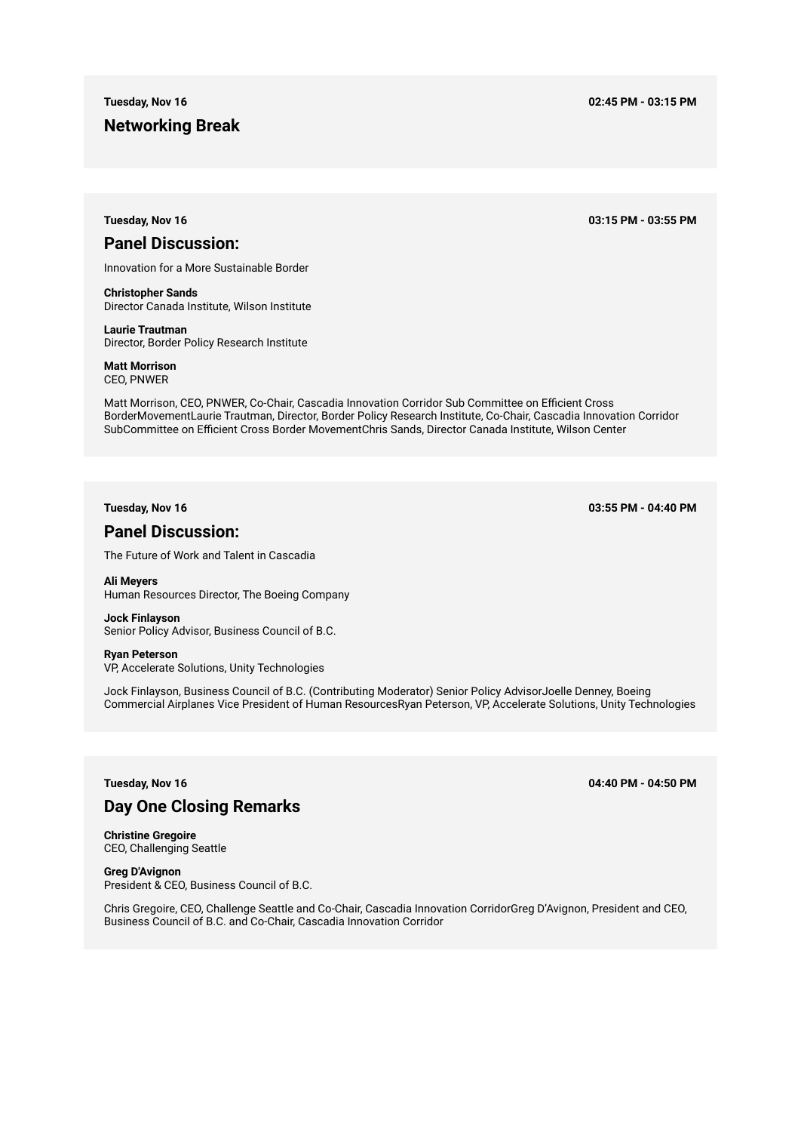## **Networking Break**

**Tuesday, Nov 16 02:45 PM - 03:15 PM**

**Tuesday, Nov 16 03:15 PM - 03:55 PM**

## **Panel Discussion:**

Innovation for a More Sustainable Border

**Christopher Sands**  Director Canada Institute, Wilson Institute

**Laurie Trautman**  Director, Border Policy Research Institute

**Matt Morrison**  CEO, PNWER

Matt Morrison, CEO, PNWER, Co-Chair, Cascadia Innovation Corridor Sub Committee on Efficient Cross BorderMovementLaurie Trautman, Director, Border Policy Research Institute, Co-Chair, Cascadia Innovation Corridor SubCommittee on Efficient Cross Border MovementChris Sands, Director Canada Institute, Wilson Center

**Tuesday, Nov 16 03:55 PM - 04:40 PM**

# **Panel Discussion:**

The Future of Work and Talent in Cascadia

**Ali Meyers**  Human Resources Director, The Boeing Company

**Jock Finlayson**  Senior Policy Advisor, Business Council of B.C.

**Ryan Peterson**  VP, Accelerate Solutions, Unity Technologies

Jock Finlayson, Business Council of B.C. (Contributing Moderator) Senior Policy AdvisorJoelle Denney, Boeing Commercial Airplanes Vice President of Human ResourcesRyan Peterson, VP, Accelerate Solutions, Unity Technologies

**Tuesday, Nov 16 04:40 PM - 04:50 PM**

# **Day One Closing Remarks**

**Christine Gregoire**  CEO, Challenging Seattle

**Greg D'Avignon**  President & CEO, Business Council of B.C.

Chris Gregoire, CEO, Challenge Seattle and Co-Chair, Cascadia Innovation CorridorGreg D'Avignon, President and CEO, Business Council of B.C. and Co-Chair, Cascadia Innovation Corridor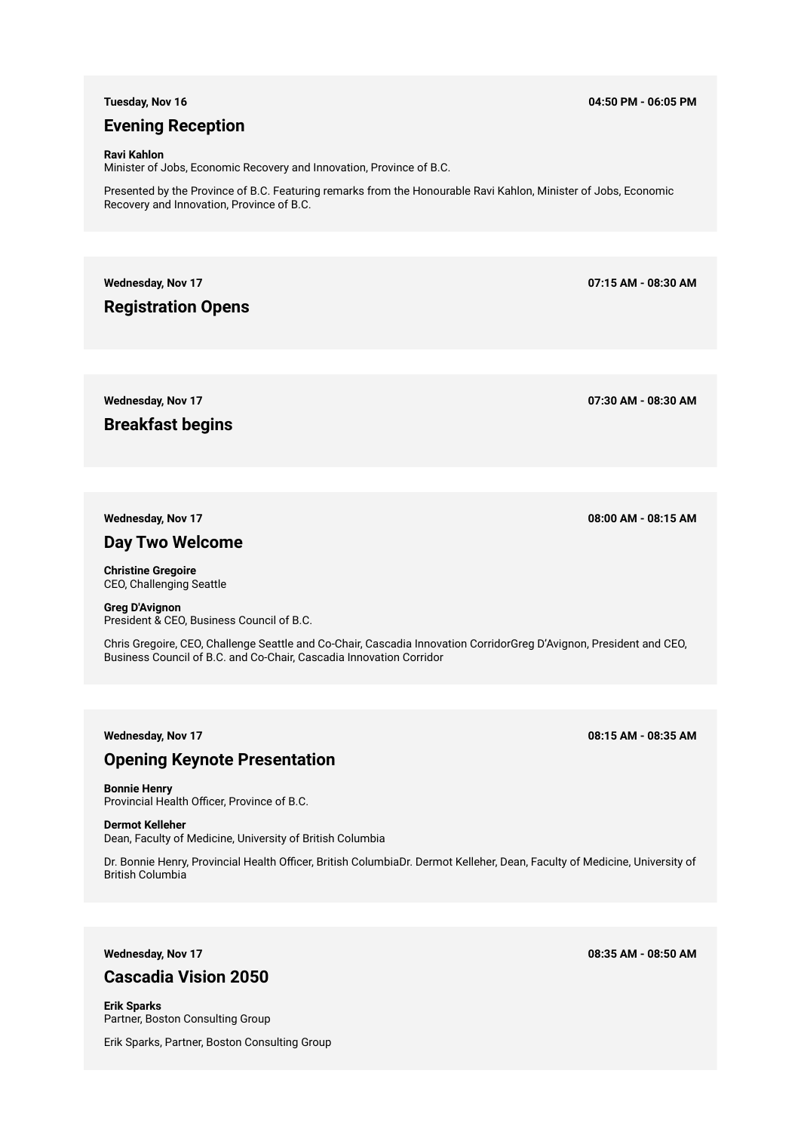## **Evening Reception**

#### **Ravi Kahlon**

Minister of Jobs, Economic Recovery and Innovation, Province of B.C.

Presented by the Province of B.C. Featuring remarks from the Honourable Ravi Kahlon, Minister of Jobs, Economic Recovery and Innovation, Province of B.C.

**Wednesday, Nov 17 07:15 AM - 08:30 AM**

**Registration Opens**

**Breakfast begins**

## **Day Two Welcome**

**Christine Gregoire**  CEO, Challenging Seattle

**Greg D'Avignon**  President & CEO, Business Council of B.C.

Chris Gregoire, CEO, Challenge Seattle and Co-Chair, Cascadia Innovation CorridorGreg D'Avignon, President and CEO, Business Council of B.C. and Co-Chair, Cascadia Innovation Corridor

## **Opening Keynote Presentation**

**Bonnie Henry**  Provincial Health Officer, Province of B.C.

**Dermot Kelleher** 

Dean, Faculty of Medicine, University of British Columbia

Dr. Bonnie Henry, Provincial Health Officer, British ColumbiaDr. Dermot Kelleher, Dean, Faculty of Medicine, University of British Columbia

# **Cascadia Vision 2050**

**Erik Sparks**  Partner, Boston Consulting Group

Erik Sparks, Partner, Boston Consulting Group

## **Tuesday, Nov 16 04:50 PM - 06:05 PM**

**Wednesday, Nov 17 07:30 AM - 08:30 AM**

**Wednesday, Nov 17 08:00 AM - 08:15 AM**

**Wednesday, Nov 17 08:15 AM - 08:35 AM**

**Wednesday, Nov 17 08:35 AM - 08:50 AM**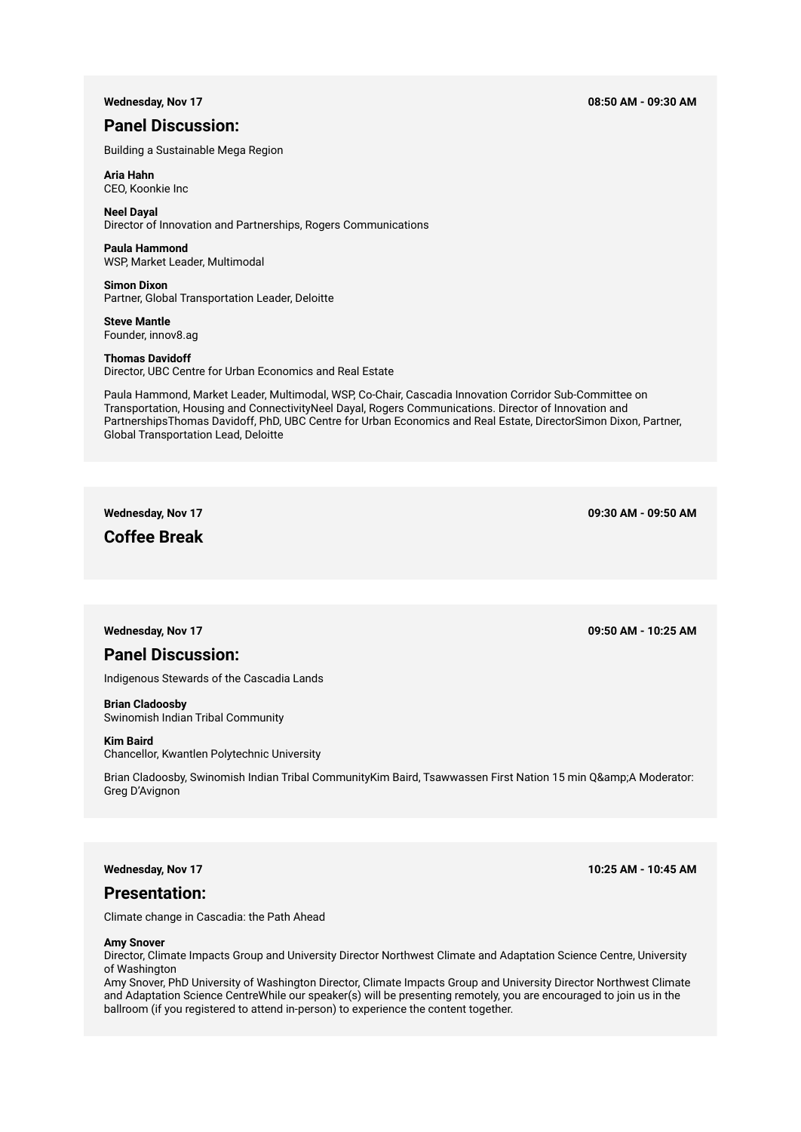#### **Wednesday, Nov 17 08:50 AM - 09:30 AM**

# **Panel Discussion:**

Building a Sustainable Mega Region

## **Aria Hahn**

CEO, Koonkie Inc

## **Neel Dayal**

Director of Innovation and Partnerships, Rogers Communications

**Paula Hammond**  WSP, Market Leader, Multimodal

**Simon Dixon**  Partner, Global Transportation Leader, Deloitte

**Steve Mantle**  Founder, innov8.ag

### **Thomas Davidoff**

Director, UBC Centre for Urban Economics and Real Estate

Paula Hammond, Market Leader, Multimodal, WSP, Co-Chair, Cascadia Innovation Corridor Sub-Committee on Transportation, Housing and ConnectivityNeel Dayal, Rogers Communications. Director of Innovation and PartnershipsThomas Davidoff, PhD, UBC Centre for Urban Economics and Real Estate, DirectorSimon Dixon, Partner, Global Transportation Lead, Deloitte

# **Coffee Break**

**Wednesday, Nov 17 09:30 AM - 09:50 AM**

**Wednesday, Nov 17 09:50 AM - 10:25 AM**

## **Panel Discussion:**

Indigenous Stewards of the Cascadia Lands

## **Brian Cladoosby**

Swinomish Indian Tribal Community

## **Kim Baird**

Chancellor, Kwantlen Polytechnic University

Brian Cladoosby, Swinomish Indian Tribal CommunityKim Baird, Tsawwassen First Nation 15 min Q&A Moderator: Greg D'Avignon

## **Presentation:**

Climate change in Cascadia: the Path Ahead

### **Amy Snover**

Director, Climate Impacts Group and University Director Northwest Climate and Adaptation Science Centre, University of Washington

Amy Snover, PhD University of Washington Director, Climate Impacts Group and University Director Northwest Climate and Adaptation Science CentreWhile our speaker(s) will be presenting remotely, you are encouraged to join us in the ballroom (if you registered to attend in-person) to experience the content together.

**Wednesday, Nov 17 10:25 AM - 10:45 AM**